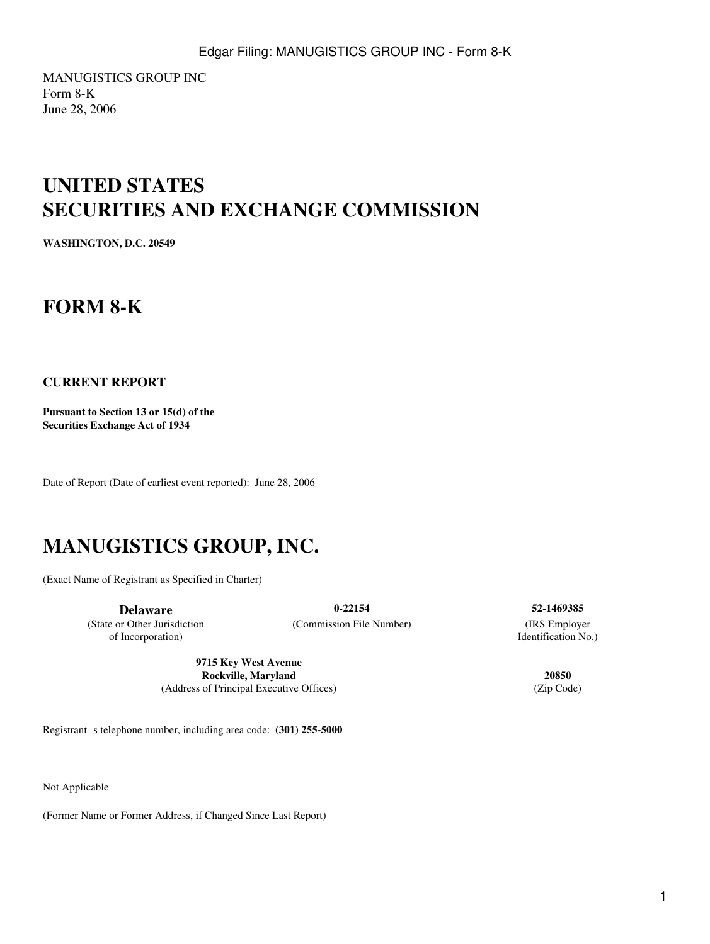MANUGISTICS GROUP INC Form 8-K June 28, 2006

## **UNITED STATES SECURITIES AND EXCHANGE COMMISSION**

**WASHINGTON, D.C. 20549**

## **FORM 8-K**

#### **CURRENT REPORT**

**Pursuant to Section 13 or 15(d) of the Securities Exchange Act of 1934**

Date of Report (Date of earliest event reported): June 28, 2006

# **MANUGISTICS GROUP, INC.**

(Exact Name of Registrant as Specified in Charter)

(State or Other Jurisdiction of Incorporation)

**Delaware 0-22154 52-1469385** (Commission File Number) (IRS Employer

**9715 Key West Avenue Rockville, Maryland 20850** (Address of Principal Executive Offices) (Zip Code)

Registrant s telephone number, including area code: **(301) 255-5000** 

Not Applicable

(Former Name or Former Address, if Changed Since Last Report)

Identification No.)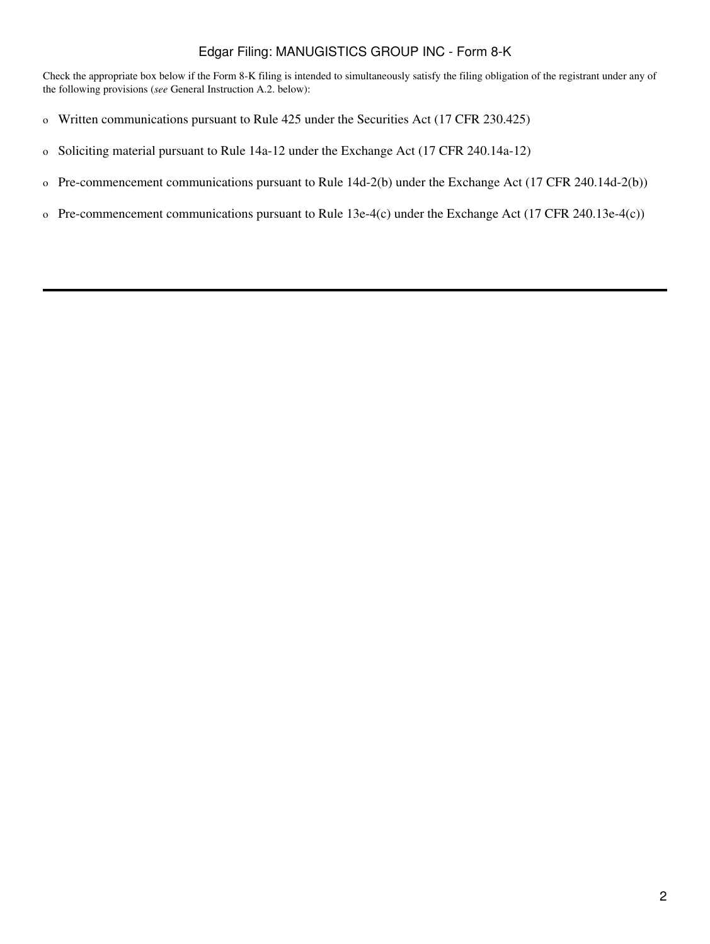### Edgar Filing: MANUGISTICS GROUP INC - Form 8-K

Check the appropriate box below if the Form 8-K filing is intended to simultaneously satisfy the filing obligation of the registrant under any of the following provisions (*see* General Instruction A.2. below):

- o Written communications pursuant to Rule 425 under the Securities Act (17 CFR 230.425)
- o Soliciting material pursuant to Rule 14a-12 under the Exchange Act (17 CFR 240.14a-12)
- o Pre-commencement communications pursuant to Rule 14d-2(b) under the Exchange Act (17 CFR 240.14d-2(b))
- o Pre-commencement communications pursuant to Rule 13e-4(c) under the Exchange Act (17 CFR 240.13e-4(c))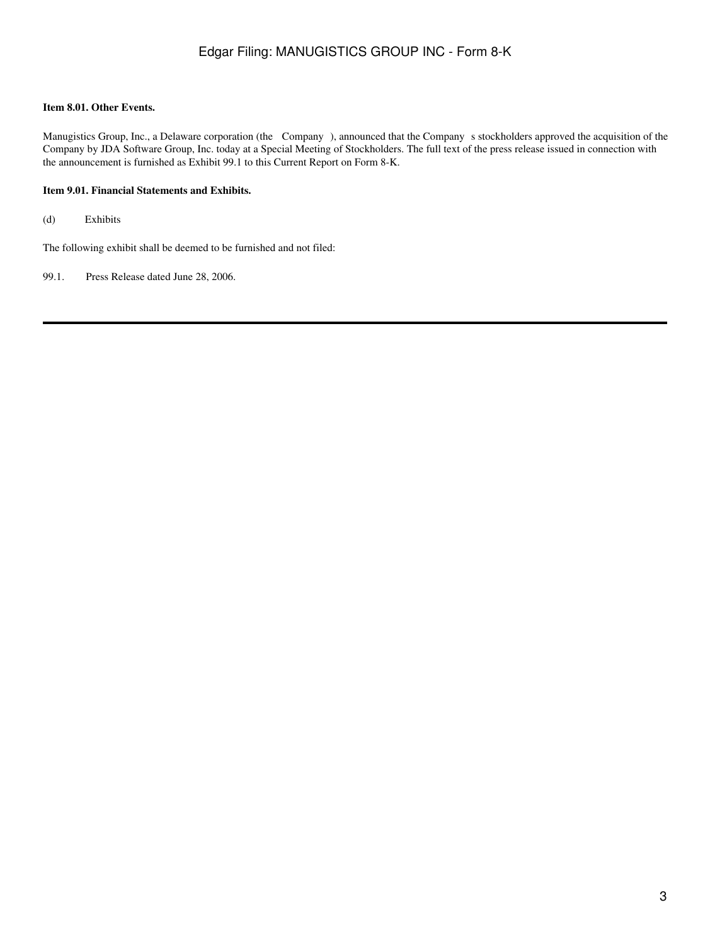#### **Item 8.01. Other Events.**

Manugistics Group, Inc., a Delaware corporation (the Company), announced that the Company s stockholders approved the acquisition of the Company by JDA Software Group, Inc. today at a Special Meeting of Stockholders. The full text of the press release issued in connection with the announcement is furnished as Exhibit 99.1 to this Current Report on Form 8-K.

#### **Item 9.01. Financial Statements and Exhibits.**

(d) Exhibits

The following exhibit shall be deemed to be furnished and not filed:

99.1. Press Release dated June 28, 2006.